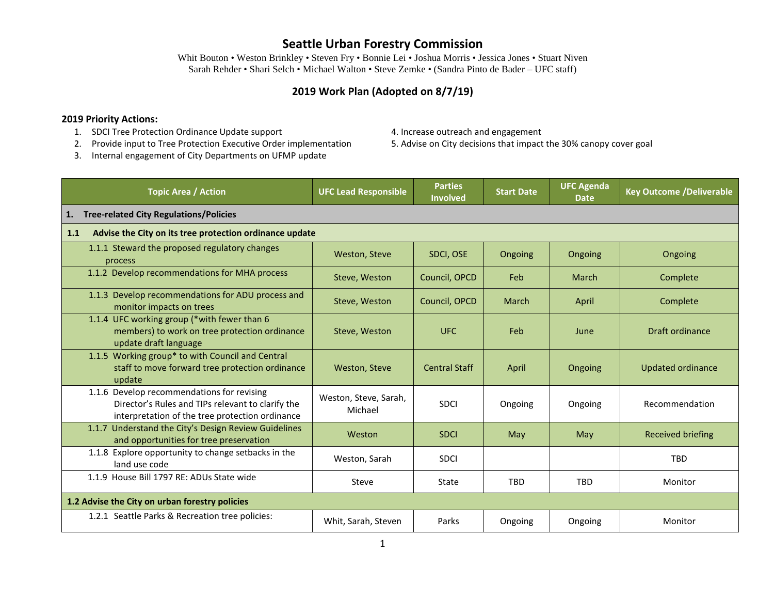Whit Bouton • Weston Brinkley • Steven Fry • Bonnie Lei • Joshua Morris • Jessica Jones • Stuart Niven Sarah Rehder • Shari Selch • Michael Walton • Steve Zemke • (Sandra Pinto de Bader – UFC staff)

#### **2019 Work Plan (Adopted on 8/7/19)**

#### **2019 Priority Actions:**

- 1. SDCI Tree Protection Ordinance Update support 4. Increase outreach and engagement
- 2. Provide input to Tree Protection Executive Order implementation 5. Advise on City decisions that impact the 30% canopy cover goal
- 3. Internal engagement of City Departments on UFMP update
- 
- 

| <b>Topic Area / Action</b>                                                                                                                         | <b>UFC Lead Responsible</b>                             | <b>Parties</b><br><b>Involved</b> | <b>Start Date</b> | <b>UFC Agenda</b><br><b>Date</b> | <b>Key Outcome /Deliverable</b> |  |
|----------------------------------------------------------------------------------------------------------------------------------------------------|---------------------------------------------------------|-----------------------------------|-------------------|----------------------------------|---------------------------------|--|
| <b>Tree-related City Regulations/Policies</b><br>1.                                                                                                |                                                         |                                   |                   |                                  |                                 |  |
| 1.1                                                                                                                                                | Advise the City on its tree protection ordinance update |                                   |                   |                                  |                                 |  |
| 1.1.1 Steward the proposed regulatory changes<br>process                                                                                           | Weston, Steve                                           | SDCI, OSE                         | Ongoing           | Ongoing                          | Ongoing                         |  |
| 1.1.2 Develop recommendations for MHA process                                                                                                      | Steve, Weston                                           | Council, OPCD                     | Feb               | March                            | Complete                        |  |
| 1.1.3 Develop recommendations for ADU process and<br>monitor impacts on trees                                                                      | Steve, Weston                                           | Council, OPCD                     | <b>March</b>      | April                            | Complete                        |  |
| 1.1.4 UFC working group (*with fewer than 6<br>members) to work on tree protection ordinance<br>update draft language                              | Steve, Weston                                           | <b>UFC</b>                        | Feb               | June                             | Draft ordinance                 |  |
| 1.1.5 Working group* to with Council and Central<br>staff to move forward tree protection ordinance<br>update                                      | Weston, Steve                                           | <b>Central Staff</b>              | April             | Ongoing                          | <b>Updated ordinance</b>        |  |
| 1.1.6 Develop recommendations for revising<br>Director's Rules and TIPs relevant to clarify the<br>interpretation of the tree protection ordinance | Weston, Steve, Sarah,<br>Michael                        | <b>SDCI</b>                       | Ongoing           | Ongoing                          | Recommendation                  |  |
| 1.1.7 Understand the City's Design Review Guidelines<br>and opportunities for tree preservation                                                    | Weston                                                  | <b>SDCI</b>                       | May               | May                              | <b>Received briefing</b>        |  |
| 1.1.8 Explore opportunity to change setbacks in the<br>land use code                                                                               | Weston, Sarah                                           | <b>SDCI</b>                       |                   |                                  | <b>TBD</b>                      |  |
| 1.1.9 House Bill 1797 RE: ADUs State wide                                                                                                          | Steve                                                   | State                             | <b>TBD</b>        | <b>TBD</b>                       | Monitor                         |  |
| 1.2 Advise the City on urban forestry policies                                                                                                     |                                                         |                                   |                   |                                  |                                 |  |
| 1.2.1 Seattle Parks & Recreation tree policies:                                                                                                    | Whit, Sarah, Steven                                     | Parks                             | Ongoing           | Ongoing                          | Monitor                         |  |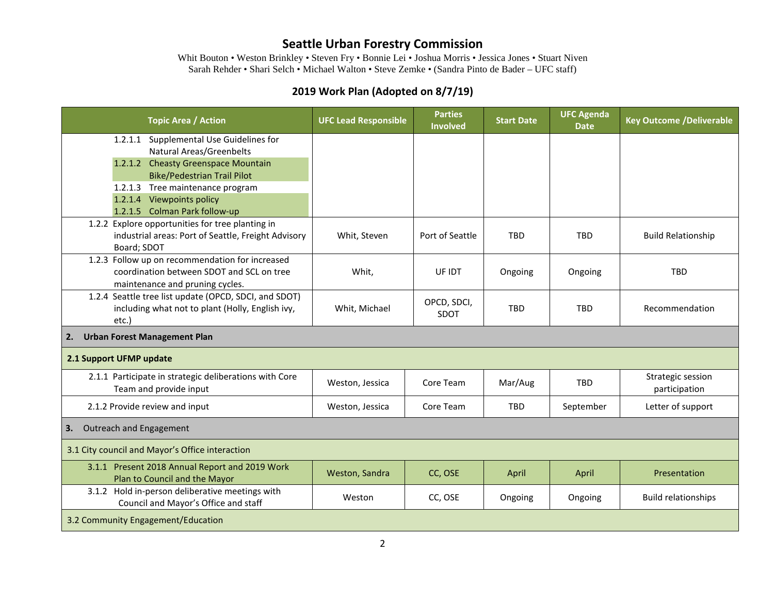Whit Bouton • Weston Brinkley • Steven Fry • Bonnie Lei • Joshua Morris • Jessica Jones • Stuart Niven Sarah Rehder • Shari Selch • Michael Walton • Steve Zemke • (Sandra Pinto de Bader – UFC staff)

| <b>Topic Area / Action</b>                                                      | <b>UFC Lead Responsible</b> | <b>Parties</b><br><b>Involved</b> | <b>Start Date</b> | <b>UFC Agenda</b><br><b>Date</b> | <b>Key Outcome /Deliverable</b> |  |
|---------------------------------------------------------------------------------|-----------------------------|-----------------------------------|-------------------|----------------------------------|---------------------------------|--|
| 1.2.1.1 Supplemental Use Guidelines for                                         |                             |                                   |                   |                                  |                                 |  |
| <b>Natural Areas/Greenbelts</b>                                                 |                             |                                   |                   |                                  |                                 |  |
| 1.2.1.2 Cheasty Greenspace Mountain                                             |                             |                                   |                   |                                  |                                 |  |
| <b>Bike/Pedestrian Trail Pilot</b>                                              |                             |                                   |                   |                                  |                                 |  |
| 1.2.1.3 Tree maintenance program                                                |                             |                                   |                   |                                  |                                 |  |
| Viewpoints policy<br>1.2.1.4                                                    |                             |                                   |                   |                                  |                                 |  |
| 1.2.1.5 Colman Park follow-up                                                   |                             |                                   |                   |                                  |                                 |  |
| 1.2.2 Explore opportunities for tree planting in                                |                             |                                   |                   |                                  |                                 |  |
| industrial areas: Port of Seattle, Freight Advisory                             | Whit, Steven                | Port of Seattle                   | <b>TBD</b>        | <b>TBD</b>                       | <b>Build Relationship</b>       |  |
| Board; SDOT                                                                     |                             |                                   |                   |                                  |                                 |  |
| 1.2.3 Follow up on recommendation for increased                                 |                             |                                   |                   |                                  |                                 |  |
| coordination between SDOT and SCL on tree                                       | Whit,                       | UF IDT                            | Ongoing           | Ongoing                          | <b>TBD</b>                      |  |
| maintenance and pruning cycles.                                                 |                             |                                   |                   |                                  |                                 |  |
| 1.2.4 Seattle tree list update (OPCD, SDCI, and SDOT)                           |                             | OPCD, SDCI,                       |                   |                                  |                                 |  |
| including what not to plant (Holly, English ivy,                                | Whit, Michael               | SDOT                              | <b>TBD</b>        | <b>TBD</b>                       | Recommendation                  |  |
| etc.)                                                                           |                             |                                   |                   |                                  |                                 |  |
| <b>Urban Forest Management Plan</b><br>2.                                       |                             |                                   |                   |                                  |                                 |  |
| 2.1 Support UFMP update                                                         |                             |                                   |                   |                                  |                                 |  |
| 2.1.1 Participate in strategic deliberations with Core                          | Weston, Jessica             | Core Team                         | Mar/Aug           | <b>TBD</b>                       | Strategic session               |  |
| Team and provide input                                                          |                             |                                   |                   |                                  | participation                   |  |
| 2.1.2 Provide review and input                                                  | Weston, Jessica             | Core Team                         | <b>TBD</b>        | September                        | Letter of support               |  |
| Outreach and Engagement<br>3.                                                   |                             |                                   |                   |                                  |                                 |  |
| 3.1 City council and Mayor's Office interaction                                 |                             |                                   |                   |                                  |                                 |  |
| 3.1.1 Present 2018 Annual Report and 2019 Work<br>Plan to Council and the Mayor | Weston, Sandra              | CC, OSE                           | April             | April                            | Presentation                    |  |
| 3.1.2 Hold in-person deliberative meetings with                                 |                             |                                   |                   |                                  |                                 |  |
| Council and Mayor's Office and staff                                            | Weston                      | CC, OSE                           | Ongoing           | Ongoing                          | <b>Build relationships</b>      |  |
| 3.2 Community Engagement/Education                                              |                             |                                   |                   |                                  |                                 |  |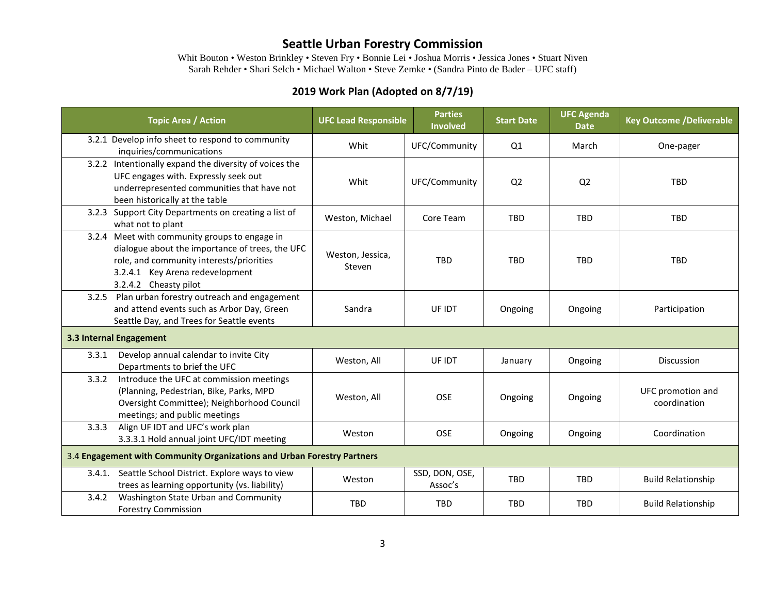Whit Bouton • Weston Brinkley • Steven Fry • Bonnie Lei • Joshua Morris • Jessica Jones • Stuart Niven Sarah Rehder • Shari Selch • Michael Walton • Steve Zemke • (Sandra Pinto de Bader – UFC staff)

| <b>Topic Area / Action</b>                                                                                                                                                                               |  | <b>UFC Lead Responsible</b> | <b>Parties</b><br><b>Involved</b> | <b>Start Date</b> | <b>UFC Agenda</b><br><b>Date</b> | <b>Key Outcome /Deliverable</b>   |
|----------------------------------------------------------------------------------------------------------------------------------------------------------------------------------------------------------|--|-----------------------------|-----------------------------------|-------------------|----------------------------------|-----------------------------------|
| 3.2.1 Develop info sheet to respond to community<br>inquiries/communications                                                                                                                             |  | Whit                        | UFC/Community                     | Q1                | March                            | One-pager                         |
| 3.2.2 Intentionally expand the diversity of voices the<br>UFC engages with. Expressly seek out<br>underrepresented communities that have not<br>been historically at the table                           |  | Whit                        | UFC/Community                     | Q <sub>2</sub>    | Q <sub>2</sub>                   | <b>TBD</b>                        |
| 3.2.3 Support City Departments on creating a list of<br>what not to plant                                                                                                                                |  | Weston, Michael             | Core Team                         | <b>TBD</b>        | <b>TBD</b>                       | <b>TBD</b>                        |
| 3.2.4 Meet with community groups to engage in<br>dialogue about the importance of trees, the UFC<br>role, and community interests/priorities<br>3.2.4.1 Key Arena redevelopment<br>3.2.4.2 Cheasty pilot |  | Weston, Jessica,<br>Steven  | <b>TBD</b>                        | <b>TBD</b>        | <b>TBD</b>                       | <b>TBD</b>                        |
| 3.2.5 Plan urban forestry outreach and engagement<br>and attend events such as Arbor Day, Green<br>Seattle Day, and Trees for Seattle events                                                             |  | Sandra                      | UF IDT                            | Ongoing           | Ongoing                          | Participation                     |
| 3.3 Internal Engagement                                                                                                                                                                                  |  |                             |                                   |                   |                                  |                                   |
| Develop annual calendar to invite City<br>3.3.1<br>Departments to brief the UFC                                                                                                                          |  | Weston, All                 | UF IDT                            | January           | Ongoing                          | <b>Discussion</b>                 |
| Introduce the UFC at commission meetings<br>3.3.2<br>(Planning, Pedestrian, Bike, Parks, MPD<br>Oversight Committee); Neighborhood Council<br>meetings; and public meetings                              |  | Weston, All                 | <b>OSE</b>                        | Ongoing           | Ongoing                          | UFC promotion and<br>coordination |
| Align UF IDT and UFC's work plan<br>3.3.3<br>3.3.3.1 Hold annual joint UFC/IDT meeting                                                                                                                   |  | Weston                      | <b>OSE</b>                        | Ongoing           | Ongoing                          | Coordination                      |
| 3.4 Engagement with Community Organizations and Urban Forestry Partners                                                                                                                                  |  |                             |                                   |                   |                                  |                                   |
| Seattle School District. Explore ways to view<br>3.4.1.<br>trees as learning opportunity (vs. liability)                                                                                                 |  | Weston                      | SSD, DON, OSE,<br>Assoc's         | <b>TBD</b>        | <b>TBD</b>                       | <b>Build Relationship</b>         |
| Washington State Urban and Community<br>3.4.2<br><b>Forestry Commission</b>                                                                                                                              |  | <b>TBD</b>                  | <b>TBD</b>                        | <b>TBD</b>        | TBD                              | <b>Build Relationship</b>         |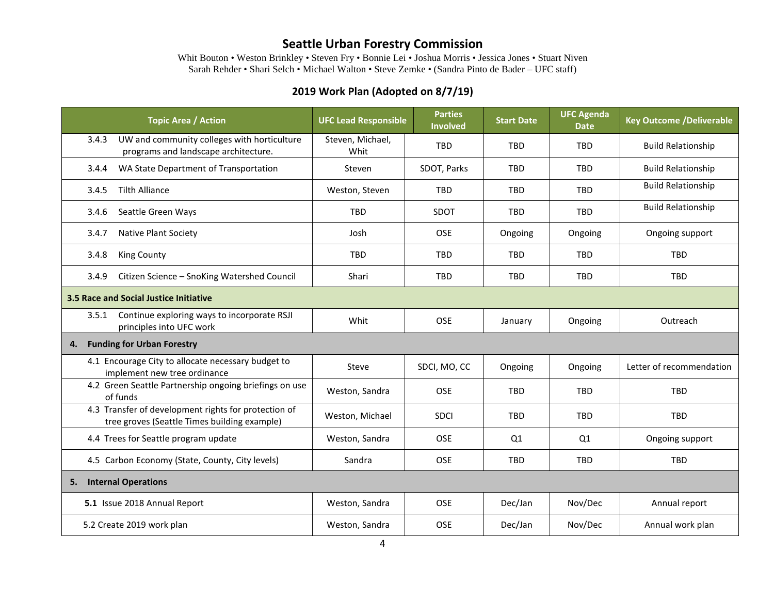Whit Bouton • Weston Brinkley • Steven Fry • Bonnie Lei • Joshua Morris • Jessica Jones • Stuart Niven Sarah Rehder • Shari Selch • Michael Walton • Steve Zemke • (Sandra Pinto de Bader – UFC staff)

| <b>Topic Area / Action</b>                                                                           | <b>UFC Lead Responsible</b> | <b>Parties</b><br><b>Involved</b> | <b>Start Date</b> | <b>UFC Agenda</b><br><b>Date</b> | <b>Key Outcome /Deliverable</b> |  |
|------------------------------------------------------------------------------------------------------|-----------------------------|-----------------------------------|-------------------|----------------------------------|---------------------------------|--|
| UW and community colleges with horticulture<br>3.4.3<br>programs and landscape architecture.         | Steven, Michael,<br>Whit    | <b>TBD</b>                        | <b>TRD</b>        | <b>TBD</b>                       | <b>Build Relationship</b>       |  |
| WA State Department of Transportation<br>3.4.4                                                       | Steven                      | SDOT, Parks                       | <b>TBD</b>        | <b>TBD</b>                       | <b>Build Relationship</b>       |  |
| <b>Tilth Alliance</b><br>3.4.5                                                                       | Weston, Steven              | <b>TBD</b>                        | <b>TBD</b>        | <b>TBD</b>                       | <b>Build Relationship</b>       |  |
| 3.4.6<br>Seattle Green Ways                                                                          | <b>TBD</b>                  | SDOT                              | <b>TBD</b>        | <b>TBD</b>                       | <b>Build Relationship</b>       |  |
| <b>Native Plant Society</b><br>3.4.7                                                                 | Josh                        | <b>OSE</b>                        | Ongoing           | Ongoing                          | Ongoing support                 |  |
| 3.4.8<br>King County                                                                                 | <b>TBD</b>                  | <b>TBD</b>                        | <b>TBD</b>        | <b>TBD</b>                       | TBD                             |  |
| Citizen Science - SnoKing Watershed Council<br>3.4.9                                                 | Shari                       | TBD                               | <b>TBD</b>        | <b>TBD</b>                       | TBD                             |  |
| 3.5 Race and Social Justice Initiative                                                               |                             |                                   |                   |                                  |                                 |  |
| Continue exploring ways to incorporate RSJI<br>3.5.1<br>principles into UFC work                     | Whit                        | <b>OSE</b>                        | January           | Ongoing                          | Outreach                        |  |
| <b>Funding for Urban Forestry</b><br>4.                                                              |                             |                                   |                   |                                  |                                 |  |
| 4.1 Encourage City to allocate necessary budget to<br>implement new tree ordinance                   | Steve                       | SDCI, MO, CC                      | Ongoing           | Ongoing                          | Letter of recommendation        |  |
| 4.2 Green Seattle Partnership ongoing briefings on use<br>of funds                                   | Weston, Sandra              | <b>OSE</b>                        | <b>TBD</b>        | <b>TBD</b>                       | <b>TBD</b>                      |  |
| 4.3 Transfer of development rights for protection of<br>tree groves (Seattle Times building example) | Weston, Michael             | <b>SDCI</b>                       | <b>TBD</b>        | <b>TBD</b>                       | <b>TBD</b>                      |  |
| 4.4 Trees for Seattle program update                                                                 | Weston, Sandra              | OSE                               | Q1                | Q1                               | Ongoing support                 |  |
| 4.5 Carbon Economy (State, County, City levels)                                                      | Sandra                      | <b>OSE</b>                        | <b>TBD</b>        | <b>TBD</b>                       | <b>TBD</b>                      |  |
| <b>Internal Operations</b><br>5.                                                                     |                             |                                   |                   |                                  |                                 |  |
| 5.1 Issue 2018 Annual Report                                                                         | Weston, Sandra              | <b>OSE</b>                        | Dec/Jan           | Nov/Dec                          | Annual report                   |  |
| 5.2 Create 2019 work plan                                                                            | Weston, Sandra              | OSE                               | Dec/Jan           | Nov/Dec                          | Annual work plan                |  |